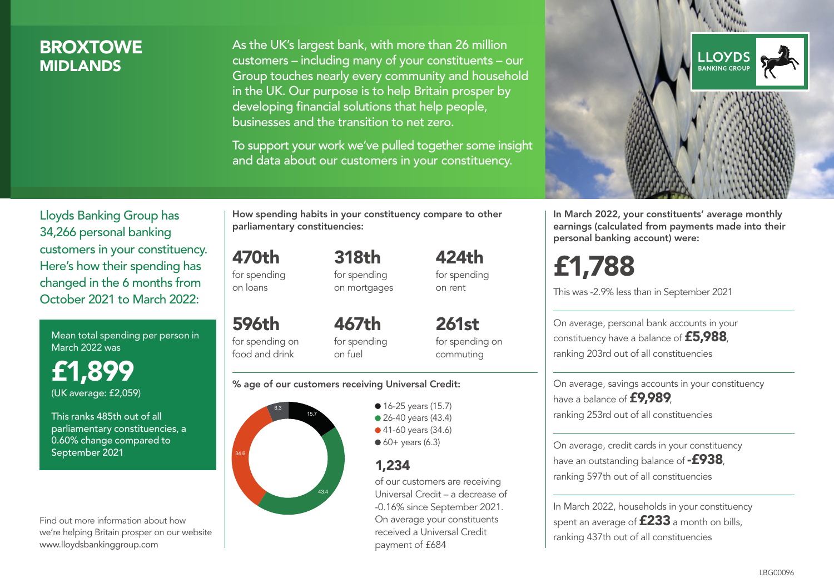## **BROXTOWE MIDI ANDS**

As the UK's largest bank, with more than 26 million customers – including many of your constituents – our Group touches nearly every community and household in the UK. Our purpose is to help Britain prosper by developing financial solutions that help people, businesses and the transition to net zero.

To support your work we've pulled together some insight and data about our customers in your constituency.



In March 2022, your constituents' average monthly earnings (calculated from payments made into their personal banking account) were:

# £1,788

This was -2.9% less than in September 2021

On average, personal bank accounts in your constituency have a balance of £5,988, ranking 203rd out of all constituencies

On average, savings accounts in your constituency have a balance of **£9,989**, ranking 253rd out of all constituencies

On average, credit cards in your constituency have an outstanding balance of  $-$ £938. ranking 597th out of all constituencies

In March 2022, households in your constituency spent an average of  $£233$  a month on bills, ranking 437th out of all constituencies

Lloyds Banking Group has 34,266 personal banking customers in your constituency. Here's how their spending has changed in the 6 months from October 2021 to March 2022:

Mean total spending per person in March 2022 was

£1,899 (UK average: £2,059)

This ranks 485th out of all parliamentary constituencies, a 0.60% change compared to September 2021

Find out more information about how we're helping Britain prosper on our website www.lloydsbankinggroup.com

How spending habits in your constituency compare to other parliamentary constituencies:

> 318th for spending on mortgages

470th for spending on loans

food and drink

596th for spending on 467th

for spending on fuel

261st for spending on commuting

 $424<sub>th</sub>$ for spending on rent

#### % age of our customers receiving Universal Credit:



• 16-25 years (15.7) • 26-40 years (43.4) ● 41-60 years (34.6)  $60+$  years (6.3)

### 1,234

of our customers are receiving Universal Credit – a decrease of -0.16% since September 2021. On average your constituents received a Universal Credit payment of £684